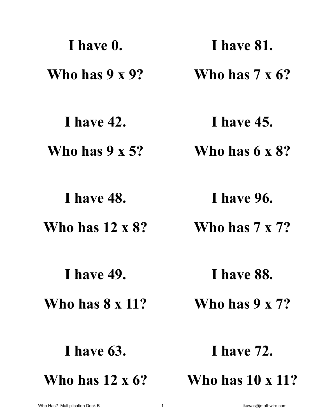| I have 0.               | <b>I</b> have 81.       |
|-------------------------|-------------------------|
| Who has $9 \times 9$ ?  | Who has $7 \times 6$ ?  |
| <b>I</b> have 42.       | <b>I</b> have 45.       |
| Who has $9 \times 5$ ?  | Who has $6 \times 8$ ?  |
| <b>I</b> have 48.       | <b>I</b> have 96.       |
| Who has $12 \times 8$ ? | Who has $7 \times 7$ ?  |
| <b>I</b> have 49.       | I have 88.              |
| Who has $8 \times 11$ ? | Who has $9 \times 7$ ?  |
| I have 63.              | <b>I</b> have 72.       |
| Who has $12 \times 6$ ? | <b>Who has 10 x 11?</b> |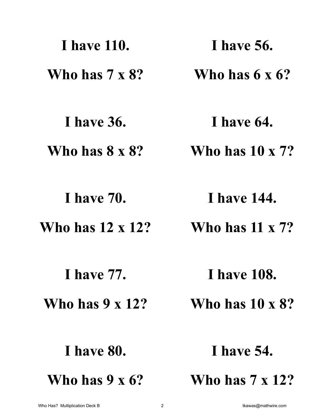| <b>I</b> have 110.      | <b>I</b> have 56.       |
|-------------------------|-------------------------|
| Who has $7 \times 8$ ?  | Who has $6 \times 6$ ?  |
| <b>Thave 36.</b>        | I have 64.              |
| Who has $8 \times 8$ ?  | Who has $10 \times 7$ ? |
| <b>Thave 70.</b>        | <b>I</b> have 144.      |
| <b>Who has 12 x 12?</b> | <b>Who has 11 x 7?</b>  |
| <b>I</b> have 77.       | <b>I</b> have 108.      |
| Who has $9 \times 12$ ? | <b>Who has 10 x 8?</b>  |
| I have 80.              | <b>I</b> have 54.       |
| Who has $9 \times 6$ ?  | <b>Who has 7 x 12?</b>  |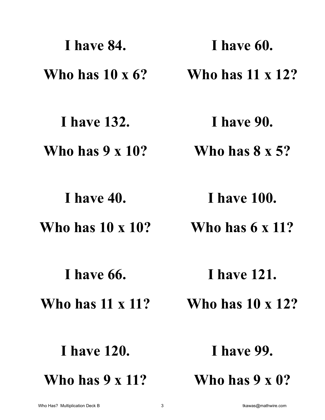| I have 84.              | I have 60.              |
|-------------------------|-------------------------|
| Who has $10 \times 6$ ? | <b>Who has 11 x 12?</b> |
| <b>I</b> have 132.      | I have 90.              |
| Who has $9 \times 10$ ? | Who has $8 \times 5$ ?  |
| <b>I</b> have 40.       | <b>I</b> have 100.      |
| Who has 10 x 10?        | Who has $6 \times 11$ ? |
| I have 66.              | <b>I</b> have 121.      |
| <b>Who has 11 x 11?</b> | <b>Who has 10 x 12?</b> |
| <b>Thave 120.</b>       | <b>I</b> have 99.       |
| Who has $9 \times 11$ ? | Who has $9 \times 0?$   |